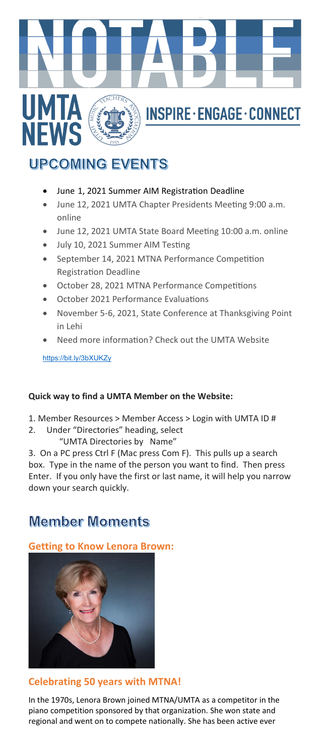

# **UPCOMING EVENTS**

- June 1, 2021 Summer AIM Registration Deadline
- June 12, 2021 UMTA Chapter Presidents Meeting 9:00 a.m. online
- June 12, 2021 UMTA State Board Meeting 10:00 a.m. online
- July 10, 2021 Summer AIM Testing
- September 14, 2021 MTNA Performance Competition Registration Deadline
- October 28, 2021 MTNA Performance Competitions
- October 2021 Performance Evaluations
- November 5-6, 2021, State Conference at Thanksgiving Point in Lehi
- Need more information? Check out the UMTA Website

<https://bit.ly/3bXUKZy>

#### **Quick way to find a UMTA Member on the Website:**

- 1. Member Resources > Member Access > Login with UMTA ID #
- 2. Under "Directories" heading, select "UMTA Directories by Name"

3. On a PC press Ctrl F (Mac press Com F). This pulls up a search box. Type in the name of the person you want to find. Then press Enter. If you only have the first or last name, it will help you narrow down your search quickly.

# **Member Moments**

**Getting to Know Lenora Brown:** 



#### **Celebrating 50 years with MTNA!**

In the 1970s, Lenora Brown joined MTNA/UMTA as a competitor in the piano competition sponsored by that organization. She won state and regional and went on to compete nationally. She has been active ever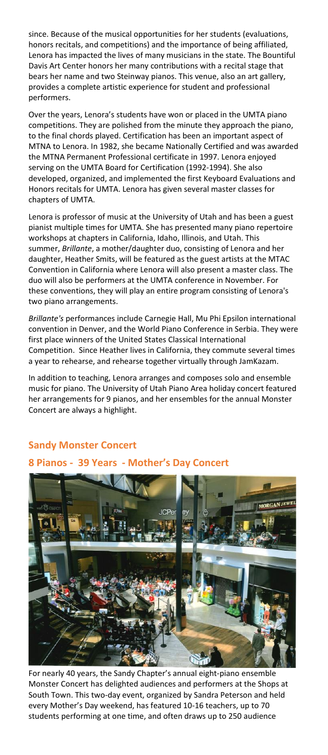since. Because of the musical opportunities for her students (evaluations, honors recitals, and competitions) and the importance of being affiliated, Lenora has impacted the lives of many musicians in the state. The Bountiful Davis Art Center honors her many contributions with a recital stage that bears her name and two Steinway pianos. This venue, also an art gallery, provides a complete artistic experience for student and professional performers.

Over the years, Lenora's students have won or placed in the UMTA piano competitions. They are polished from the minute they approach the piano, to the final chords played. Certification has been an important aspect of MTNA to Lenora. In 1982, she became Nationally Certified and was awarded the MTNA Permanent Professional certificate in 1997. Lenora enjoyed serving on the UMTA Board for Certification (1992-1994). She also developed, organized, and implemented the first Keyboard Evaluations and Honors recitals for UMTA. Lenora has given several master classes for chapters of UMTA.

Lenora is professor of music at the University of Utah and has been a guest pianist multiple times for UMTA. She has presented many piano repertoire workshops at chapters in California, Idaho, Illinois, and Utah. This summer, *Brillante*, a mother/daughter duo, consisting of Lenora and her daughter, Heather Smits, will be featured as the guest artists at the MTAC Convention in California where Lenora will also present a master class. The duo will also be performers at the UMTA conference in November. For these conventions, they will play an entire program consisting of Lenora's two piano arrangements.

*Brillante's* performances include Carnegie Hall, Mu Phi Epsilon international convention in Denver, and the World Piano Conference in Serbia. They were first place winners of the United States Classical International Competition. Since Heather lives in California, they commute several times a year to rehearse, and rehearse together virtually through JamKazam.

In addition to teaching, Lenora arranges and composes solo and ensemble music for piano. The University of Utah Piano Area holiday concert featured her arrangements for 9 pianos, and her ensembles for the annual Monster Concert are always a highlight.

# **Sandy Monster Concert**

## **8 Pianos - 39 Years - Mother's Day Concert**



For nearly 40 years, the Sandy Chapter's annual eight-piano ensemble Monster Concert has delighted audiences and performers at the Shops at South Town. This two-day event, organized by Sandra Peterson and held every Mother's Day weekend, has featured 10-16 teachers, up to 70 students performing at one time, and often draws up to 250 audience